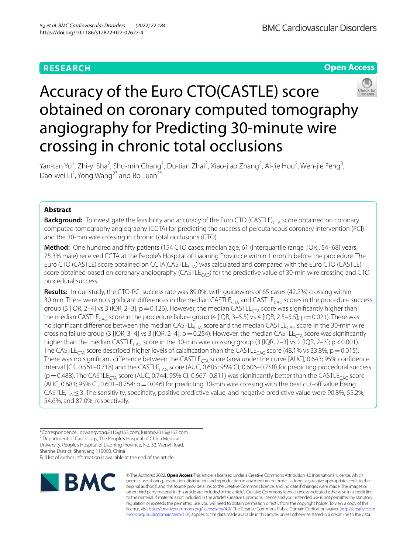# **RESEARCH**

**Open Access**

# Accuracy of the Euro CTO(CASTLE) score obtained on coronary computed tomography angiography for Predicting 30-minute wire crossing in chronic total occlusions

Yan-tan Yu<sup>1</sup>, Zhi-yi Sha<sup>2</sup>, Shu-min Chang<sup>1</sup>, Du-tian Zhai<sup>2</sup>, Xiao-jiao Zhang<sup>2</sup>, Ai-jie Hou<sup>2</sup>, Wen-jie Feng<sup>3</sup>, Dao-wei Li<sup>3</sup>, Yong Wang<sup>2\*</sup> and Bo Luan<sup>2\*</sup>

# **Abstract**

**Background:** To investigate the feasibility and accuracy of the Euro CTO (CASTLE)<sub>CTA</sub> score obtained on coronary computed tomography angiography (CCTA) for predicting the success of percutaneous coronary intervention (PCI) and the 30-min wire crossing in chronic total occlusions (CTO).

**Method:** One hundred and ffty patients (154 CTO cases; median age, 61 (interquartile range [IQR], 54–68) years; 75.3% male) received CCTA at the People's Hospital of Liaoning Provincce within 1 month before the procedure. The Euro CTO (CASTLE) score obtained on CCTA(CASTLE<sub>CTA</sub>) was calculated and compared with the Euro CTO (CASTLE) score obtained based on coronary angiography (CASTLE<sub>CAG</sub>) for the predictive value of 30-min wire crossing and CTO procedural success.

**Results:** In our study, the CTO-PCI success rate was 89.0%, with guidewires of 65 cases (42.2%) crossing within 30 min. There were no significant differences in the median CASTLE<sub>CTA</sub> and CASTLE<sub>CAG</sub> scores in the procedure success group (3 [IQR, 2–4] vs 3 (IQR, 2–3]; p=0.126). However, the median CASTLE<sub>CTA</sub> score was significantly higher than the median CASTLE<sub>CAG</sub> score in the procedure failure group (4 [IQR, 3–5.5] vs 4 [IQR, 2.5–5.5]; p = 0.021). There was no significant difference between the median CASTLE<sub>CTA</sub> score and the median CASTLE<sub>CAG</sub> score in the 30-min wire crossing failure group (3 [IQR, 3–4] vs 3 [IQR, 2–4];  $p=0.254$ ). However, the median CASTLE<sub>CTA</sub> score was significantly higher than the median CASTLE<sub>CAG</sub> score in the 30-min wire crossing group (3 [IQR, 2–3] vs 2 [IQR, 2–3]; p < 0.001). The CASTLE<sub>CTA</sub> score described higher levels of calcification than the CASTLE<sub>CAG</sub> score (48.1% vs 33.8%; p = 0.015). There was no significant difference between the CASTLE<sub>CTA</sub> score (area under the curve [AUC], 0.643; 95% confidence interval [CI], 0.561–0.718) and the CASTLE<sub>CAG</sub> score (AUC, 0.685; 95% CI, 0.606–0.758) for predicting procedural success ( $p=0.488$ ). The CASTLE<sub>CTA</sub> score (AUC, 0.744; 95% CI, 0.667–0.811) was significantly better than the CASTLE<sub>CAG</sub> score (AUC, 0.681; 95% CI, 0.601–0.754;  $p = 0.046$ ) for predicting 30-min wire crossing with the best cut-off value being CASTLE<sub>CTA</sub>  $\leq$  3. The sensitivity, specificity, positive predictive value, and negative predictive value were 90.8%, 55.2%, 54.6%, and 87.0%, respectively.

\*Correspondence: drwangyong2016@163.com; luanbo2016@163.com <sup>2</sup> Department of Cardiology, The People's Hospital of China Medical University, People's Hospital of Liaoning Province, No. 33, Wenyi Road, Shenhe District, Shenyang 110000, China Full list of author information is available at the end of the article



© The Author(s) 2022. **Open Access** This article is licensed under a Creative Commons Attribution 4.0 International License, which permits use, sharing, adaptation, distribution and reproduction in any medium or format, as long as you give appropriate credit to the original author(s) and the source, provide a link to the Creative Commons licence, and indicate if changes were made. The images or other third party material in this article are included in the article's Creative Commons licence, unless indicated otherwise in a credit line to the material. If material is not included in the article's Creative Commons licence and your intended use is not permitted by statutory regulation or exceeds the permitted use, you will need to obtain permission directly from the copyright holder. To view a copy of this licence, visit [http://creativecommons.org/licenses/by/4.0/.](http://creativecommons.org/licenses/by/4.0/) The Creative Commons Public Domain Dedication waiver (http://creativecom[mons.org/publicdomain/zero/1.0/\)](http://creativecommons.org/publicdomain/zero/1.0/) applies to the data made available in this article, unless otherwise stated in a credit line to the data.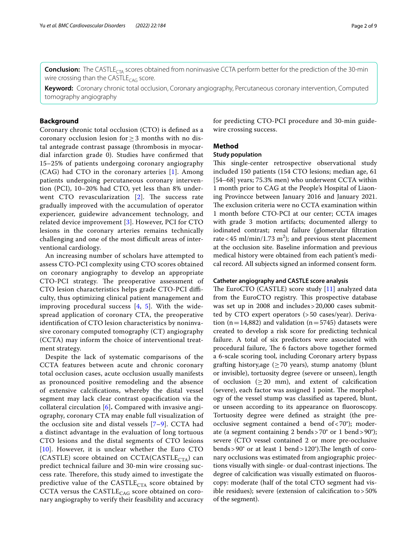**Conclusion:** The CASTLE<sub>CTA</sub> scores obtained from noninvasive CCTA perform better for the prediction of the 30-min wire crossing than the CASTLE<sub>CAG</sub> score.

**Keyword:** Coronary chronic total occlusion, Coronary angiography, Percutaneous coronary intervention, Computed tomography angiography

# **Background**

Coronary chronic total occlusion (CTO) is defned as a coronary occlusion lesion for ≥ 3 months with no distal antegrade contrast passage (thrombosis in myocardial infarction grade 0). Studies have confrmed that 15–25% of patients undergoing coronary angiography (CAG) had CTO in the coronary arteries [[1\]](#page-7-0). Among patients undergoing percutaneous coronary intervention (PCI), 10–20% had CTO, yet less than 8% underwent CTO revascularization  $[2]$  $[2]$ . The success rate gradually improved with the accumulation of operator experiencer, guidewire advancement technology, and related device improvement [\[3](#page-7-2)]. However, PCI for CTO lesions in the coronary arteries remains technically challenging and one of the most difficult areas of interventional cardiology.

An increasing number of scholars have attempted to assess CTO-PCI complexity using CTO scores obtained on coronary angiography to develop an appropriate CTO-PCI strategy. The preoperative assessment of CTO lesion characteristics helps grade CTO-PCI difficulty, thus optimizing clinical patient management and improving procedural success  $[4, 5]$  $[4, 5]$  $[4, 5]$  $[4, 5]$  $[4, 5]$ . With the widespread application of coronary CTA, the preoperative identifcation of CTO lesion characteristics by noninvasive coronary computed tomography (CT) angiography (CCTA) may inform the choice of interventional treatment strategy.

Despite the lack of systematic comparisons of the CCTA features between acute and chronic coronary total occlusion cases, acute occlusion usually manifests as pronounced positive remodeling and the absence of extensive calcifcations, whereby the distal vessel segment may lack clear contrast opacifcation via the collateral circulation [[6](#page-7-5)]**.** Compared with invasive angiography, coronary CTA may enable full visualization of the occlusion site and distal vessels [\[7](#page-7-6)–[9\]](#page-7-7). CCTA had a distinct advantage in the evaluation of long tortuous CTO lesions and the distal segments of CTO lesions [[10](#page-7-8)]. However, it is unclear whether the Euro CTO (CASTLE) score obtained on CCTA(CASTLE<sub>CTA</sub>) can predict technical failure and 30-min wire crossing success rate. Therefore, this study aimed to investigate the predictive value of the  $CASTLE<sub>CTA</sub>$  score obtained by CCTA versus the  $\text{CASTLE}_{\text{CAG}}$  score obtained on coronary angiography to verify their feasibility and accuracy for predicting CTO-PCI procedure and 30-min guidewire crossing success.

#### **Method**

# **Study population**

This single-center retrospective observational study included 150 patients (154 CTO lesions; median age, 61 [54–68] years; 75.3% men) who underwent CCTA within 1 month prior to CAG at the People's Hospital of Liaoning Provincce between January 2016 and January 2021. The exclusion criteria were no CCTA examination within 1 month before CTO-PCI at our center; CCTA images with grade 3 motion artifacts; documented allergy to iodinated contrast; renal failure (glomerular fltration rate < 45 ml/min/1.73 m<sup>2</sup>); and previous stent placement at the occlusion site. Baseline information and previous medical history were obtained from each patient's medical record. All subjects signed an informed consent form.

#### **Catheter angiography and CASTLE score analysis**

The EuroCTO (CASTLE) score study  $[11]$  $[11]$  analyzed data from the EuroCTO registry. This prospective database was set up in 2008 and includes>20,000 cases submitted by CTO expert operators (>50 cases/year). Derivation (n=14,882) and validation (n=5745) datasets were created to develop a risk score for predicting technical failure. A total of six predictors were associated with procedural failure, The 6 factors above together formed a 6-scale scoring tool, including Coronary artery bypass grafting history,age  $(\geq 70$  years), stump anatomy (blunt or invisible), tortuosity degree (severe or unseen), length of occlusion ( $\geq$  20 mm), and extent of calcification (severe), each factor was assigned 1 point. The morphology of the vessel stump was classifed as tapered, blunt, or unseen according to its appearance on fuoroscopy. Tortuosity degree were defned as straight (the preocclusive segment contained a bend of  $< 70^\circ$ ); moderate (a segment containing 2 bends>70° or 1 bend>90°); severe (CTO vessel contained 2 or more pre-occlusive bends >  $90^{\circ}$  or at least 1 bend >  $120^{\circ}$ ). The length of coronary occlusions was estimated from angiographic projections visually with single- or dual-contrast injections. The degree of calcifcation was visually estimated on fuoroscopy: moderate (half of the total CTO segment had visible residues); severe (extension of calcifcation to>50% of the segment).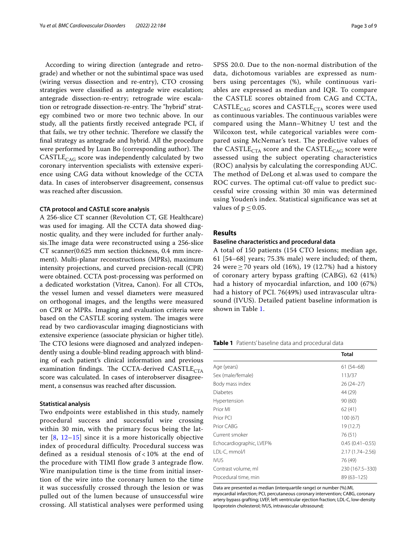According to wiring direction (antegrade and retrograde) and whether or not the subintimal space was used (wiring versus dissection and re-entry), CTO crossing strategies were classifed as antegrade wire escalation; antegrade dissection-re-entry; retrograde wire escalation or retrograde dissection-re-entry. The "hybrid" strategy combined two or more two technic above. In our study, all the patients frstly received antegrade PCI, if that fails, we try other technic. Therefore we classify the fnal strategy as antegrade and hybrid. All the procedure were performed by Luan Bo (corresponding author). The  $CASTLE<sub>CAG</sub>$  score was independently calculated by two coronary intervention specialists with extensive experience using CAG data without knowledge of the CCTA data. In cases of interobserver disagreement, consensus was reached after discussion.

# **CTA protocol and CASTLE score analysis**

A 256-slice CT scanner (Revolution CT, GE Healthcare) was used for imaging. All the CCTA data showed diagnostic quality, and they were included for further analysis. The image data were reconstructed using a 256-slice CT scanner(0.625 mm section thickness, 0.4 mm increment). Multi-planar reconstructions (MPRs), maximum intensity projections, and curved precision-recall (CPR) were obtained. CCTA post-processing was performed on a dedicated workstation (Vitrea, Canon). For all CTOs, the vessel lumen and vessel diameters were measured on orthogonal images, and the lengths were measured on CPR or MPRs. Imaging and evaluation criteria were based on the CASTLE scoring system. The images were read by two cardiovascular imaging diagnosticians with extensive experience (associate physician or higher title). The CTO lesions were diagnosed and analyzed independently using a double-blind reading approach with blinding of each patient's clinical information and previous examination findings. The CCTA-derived  $\text{CASTLE}_{\text{CTA}}$ score was calculated. In cases of interobserver disagreement, a consensus was reached after discussion.

# **Statistical analysis**

Two endpoints were established in this study, namely procedural success and successful wire crossing within 30 min, with the primary focus being the latter [[8,](#page-7-10) [12](#page-7-11)[–15\]](#page-8-0) since it is a more historically objective index of procedural difficulty. Procedural success was defined as a residual stenosis of < 10% at the end of the procedure with TIMI flow grade 3 antegrade flow. Wire manipulation time is the time from initial insertion of the wire into the coronary lumen to the time it was successfully crossed through the lesion or was pulled out of the lumen because of unsuccessful wire crossing. All statistical analyses were performed using SPSS 20.0. Due to the non-normal distribution of the data, dichotomous variables are expressed as numbers using percentages (%), while continuous variables are expressed as median and IQR. To compare the CASTLE scores obtained from CAG and CCTA,  $CASTLE<sub>CAG</sub>$  scores and  $CASTLE<sub>CTA</sub>$  scores were used as continuous variables. The continuous variables were compared using the Mann–Whitney U test and the Wilcoxon test, while categorical variables were compared using McNemar's test. The predictive values of the CASTLE<sub>CTA</sub> score and the CASTLE<sub>CAG</sub> score were assessed using the subject operating characteristics (ROC) analysis by calculating the corresponding AUC. The method of DeLong et al.was used to compare the ROC curves. The optimal cut-off value to predict successful wire crossing within 30 min was determined using Youden's index. Statistical significance was set at values of  $p \leq 0.05$ .

#### **Results**

#### **Baseline characteristics and procedural data**

A total of 150 patients (154 CTO lesions; median age, 61 [54–68] years; 75.3% male) were included; of them, 24 were ≥ 70 years old (16%), 19 (12.7%) had a history of coronary artery bypass grafting (CABG), 62 (41%) had a history of myocardial infarction, and 100 (67%) had a history of PCI. 76(49%) used intravascular ultrasound (IVUS). Detailed patient baseline information is shown in Table [1.](#page-2-0)

<span id="page-2-0"></span>**Table 1** Patients' baseline data and procedural data

|                          | Total               |
|--------------------------|---------------------|
| Age (years)              | $61(54-68)$         |
| Sex (male/female)        | 113/37              |
| Body mass index          | $26(24-27)$         |
| Diabetes                 | 44 (29)             |
| Hypertension             | 90 (60)             |
| Prior MI                 | 62(41)              |
| Prior PCI                | 100 (67)            |
| Prior CABG               | 19 (12.7)           |
| Current smoker           | 76 (51)             |
| Echocardiographic, LVEF% | $0.45(0.41 - 0.55)$ |
| LDL-C, mmol/l            | 2.17 (1.74-2.56)    |
| <b>IVUS</b>              | 76 (49)             |
| Contrast volume, ml      | 230 (167.5–330)     |
| Procedural time, min     | 89 (63-125)         |

Data are presented as median (interquartile range) or number (%).MI,

myocardial infarction; PCI, percutaneous coronary intervention; CABG, coronary artery bypass grafting; LVEF, left ventricular ejection fraction; LDL-C, low-density lipoprotein cholesterol; IVUS, intravascular ultrasound;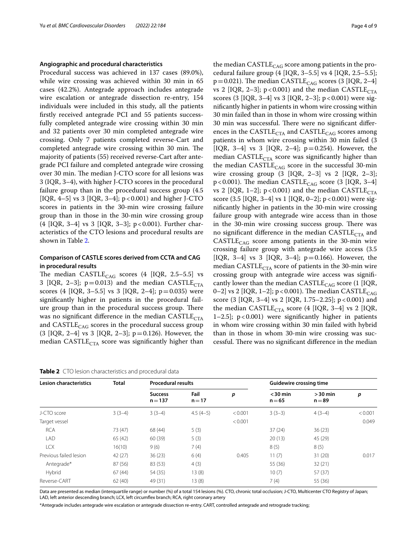#### **Angiographic and procedural characteristics**

Procedural success was achieved in 137 cases (89.0%), while wire crossing was achieved within 30 min in 65 cases (42.2%). Antegrade approach includes antegrade wire escalation or antegrade dissection re-entry, 154 individuals were included in this study, all the patients frstly received antegrade PCI and 55 patients successfully completed antegrade wire crossing within 30 min and 32 patients over 30 min completed antegrade wire crossing. Only 7 patients completed reverse-Cart and completed antegrade wire crossing within 30 min. The majority of patients (55) received reverse-Cart after antegrade PCI failure and completed antegrade wire crossing over 30 min. The median J-CTO score for all lesions was 3 (IQR, 3–4), with higher J-CTO scores in the procedural failure group than in the procedural success group (4.5 [IQR, 4–5] vs 3 [IQR, 3–4];  $p < 0.001$ ) and higher J-CTO scores in patients in the 30-min wire crossing failure group than in those in the 30-min wire crossing group (4 [IQR, 3–4] vs 3 [IQR, 3–3]; p<0.001). Further characteristics of the CTO lesions and procedural results are shown in Table [2.](#page-3-0)

# **Comparison of CASTLE scores derived from CCTA and CAG in procedural results**

The median  $CASE_{CAG}$  scores (4 [IQR, 2.5–5.5] vs 3 [IQR, 2-3];  $p=0.013$ ) and the median CASTLE<sub>CTA</sub> scores (4 [IQR, 3–5.5] vs 3 [IQR, 2–4];  $p=0.035$ ) were signifcantly higher in patients in the procedural failure group than in the procedural success group. There was no significant difference in the median  $CASTLE<sub>CTA</sub>$ and  $\text{CASTLE}_{\text{CAG}}$  scores in the procedural success group  $(3 [IQR, 2-4] \text{ vs } 3 [IQR, 2-3]; p=0.126)$ . However, the median  $\text{CASTLE}_{\text{CTA}}$  score was significantly higher than

<span id="page-3-0"></span>

| Table 2 CTO lesion characteristics and procedural data |  |
|--------------------------------------------------------|--|
|--------------------------------------------------------|--|

the median  $\text{CASTLE}_{\text{CAG}}$  score among patients in the procedural failure group  $(4 [IQR, 3-5.5] \text{ vs } 4 [IQR, 2.5-5.5];$  $p=0.021$ ). The median CASTLE<sub>CAG</sub> scores (3 [IQR, 2–4] vs 2 [IQR, 2–3];  $p < 0.001$ ) and the median CASTLE<sub>CTA</sub> scores (3 [IQR, 3-4] vs 3 [IQR, 2-3]; p < 0.001) were signifcantly higher in patients in whom wire crossing within 30 min failed than in those in whom wire crossing within 30 min was successful. There were no significant differences in the  $\text{CASTLE}_{\text{CTA}}$  and  $\text{CASTLE}_{\text{CAG}}$  scores among patients in whom wire crossing within 30 min failed (3 [IQR, 3-4] vs 3 [IQR, 2-4];  $p=0.254$ ). However, the median  $\text{CASTLE}_{\text{CTA}}$  score was significantly higher than the median  $\text{CASTLE}_{\text{CAG}}$  score in the successful 30-min wire crossing group  $(3 \text{ [IQR, 2-3] vs 2 [IQR, 2-3]};$  $p < 0.001$ ). The median CASTLE<sub>CAG</sub> score (3 [IQR, 3-4] vs 2 [IQR, 1-2];  $p < 0.001$ ) and the median CASTLE<sub>CTA</sub> score  $(3.5 \text{ [IQR, 3-4] vs 1 [IQR, 0-2]; p < 0.001)$  were signifcantly higher in patients in the 30-min wire crossing failure group with antegrade wire access than in those in the 30-min wire crossing success group. There was no significant difference in the median  $CASTLE<sub>CTA</sub>$  and  $CASTLE<sub>CAG</sub>$  score among patients in the 30-min wire crossing failure group with antegrade wire access (3.5 [IQR, 3–4] vs 3 [IQR, 3–4];  $p=0.166$ ). However, the median CASTLE $_{\text{CTA}}$  score of patients in the 30-min wire crossing group with antegrade wire access was signifcantly lower than the median  $CASTLE<sub>CAG</sub> score (1 [IQR,$ 0–2] vs 2 [IQR, 1–2]; p < 0.001). The median CASTLE<sub>CAG</sub> score (3 [IQR, 3–4] vs 2 [IQR, 1.75–2.25]; p<0.001) and the median CASTLE<sub>CTA</sub> score (4 [IQR, 3–4] vs 2 [IQR, 1–2.5]; p<0.001) were signifcantly higher in patients in whom wire crossing within 30 min failed with hybrid than in those in whom 30-min wire crossing was successful. There was no significant difference in the median

| <b>Lesion characteristics</b> | <b>Total</b> | <b>Procedural results</b>   |                  |         | <b>Guidewire crossing time</b> |                       |         |
|-------------------------------|--------------|-----------------------------|------------------|---------|--------------------------------|-----------------------|---------|
|                               |              | <b>Success</b><br>$n = 137$ | Fail<br>$n = 17$ | p       | $<$ 30 min<br>$n = 65$         | $>30$ min<br>$n = 89$ | p       |
| J-CTO score                   | $3(3-4)$     | $3(3-4)$                    | $4.5(4-5)$       | < 0.001 | $3(3-3)$                       | $4(3-4)$              | < 0.001 |
| Target vessel                 |              |                             |                  | < 0.001 |                                |                       | 0.049   |
| <b>RCA</b>                    | 73 (47)      | 68 (44)                     | 5(3)             |         | 37(24)                         | 36(23)                |         |
| LAD                           | 65(42)       | 60 (39)                     | 5(3)             |         | 20(13)                         | 45 (29)               |         |
| <b>LCX</b>                    | 16(10)       | 9(6)                        | 7(4)             |         | 8(5)                           | 8(5)                  |         |
| Previous failed lesion        | 42(27)       | 36(23)                      | 6(4)             | 0.405   | 11(7)                          | 31(20)                | 0.017   |
| Antegrade*                    | 87(56)       | 83 (53)                     | 4(3)             |         | 55 (36)                        | 32(21)                |         |
| Hybrid                        | 67(44)       | 54 (35)                     | 13(8)            |         | 10(7)                          | 57(37)                |         |
| Reverse-CART                  | 62(40)       | 49 (31)                     | 13(8)            |         | 7(4)                           | 55 (36)               |         |

Data are presented as median (interquartile range) or number (%) of a total 154 lesions (%). CTO, chronic total occlusion; J-CTO, Multicenter CTO Registry of Japan; LAD, left anterior descending branch; LCX, left circumfex branch; RCA, right coronary artery

\*Antegrade includes antegrade wire escalation or antegrade dissection re-entry. CART, controlled antegrade and retrograde tracking;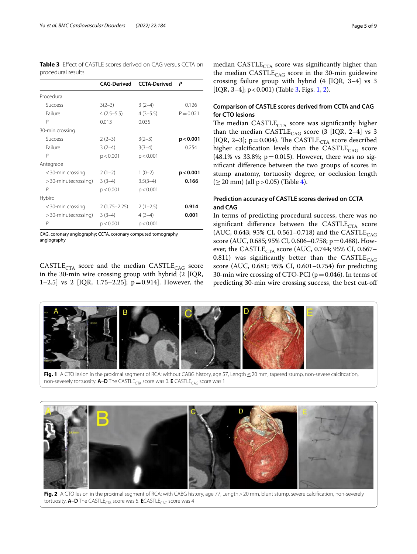<span id="page-4-0"></span>

| <b>Table 3</b> Effect of CASTLE scores derived on CAG versus CCTA on |  |  |
|----------------------------------------------------------------------|--|--|
| procedural results                                                   |  |  |

|                      | <b>CAG-Derived</b> | <b>CCTA-Derived</b> | Ρ           |
|----------------------|--------------------|---------------------|-------------|
| Procedural           |                    |                     |             |
| <b>Success</b>       | $3(2-3)$           | $3(2-4)$            | 0.126       |
| Failure              | $4(2.5-5.5)$       | $4(3-5.5)$          | $P = 0.021$ |
| P                    | 0.013              | 0.035               |             |
| 30-min crossing      |                    |                     |             |
| <b>Success</b>       | $2(2-3)$           | $3(2-3)$            | p < 0.001   |
| Failure              | $3(2-4)$           | $3(3-4)$            | 0.254       |
| P                    | p < 0.001          | p < 0.001           |             |
| Antegrade            |                    |                     |             |
| $<$ 30-min crossing  | $2(1-2)$           | $1(0-2)$            | p < 0.001   |
| > 30-minutecrossing) | $3(3-4)$           | $3.5(3-4)$          | 0.166       |
| P                    | p < 0.001          | p < 0.001           |             |
| Hybird               |                    |                     |             |
| $<$ 30-min crossing  | $2(1.75 - 2.25)$   | $2(1-2.5)$          | 0.914       |
| > 30-minutecrossing) | $3(3-4)$           | $4(3-4)$            | 0.001       |
| P                    | p < 0.001          | p < 0.001           |             |

CAG, coronary angiography; CCTA, coronary computed tomography angiography

 $CASTLE<sub>CTA</sub>$  score and the median  $CASTLE<sub>CAG</sub>$  score in the 30-min wire crossing group with hybrid (2 [IQR, 1–2.5] vs 2 [IQR, 1.75–2.25]; p=0.914]. However, the median  $\text{CASTLE}_{\text{CTA}}$  score was significantly higher than the median  $CASTLE<sub>CAG</sub>$  score in the 30-min guidewire crossing failure group with hybrid (4 [IQR, 3–4] vs 3 [IQR, 3-4];  $p < 0.001$ ) (Table [3,](#page-4-0) Figs[. 1](#page-4-1), [2\)](#page-4-2).

# **Comparison of CASTLE scores derived from CCTA and CAG for CTO lesions**

The median CASTLE $_{CTA}$  score was significantly higher than the median CASTLE<sub>CAG</sub> score (3 [IQR, 2-4] vs 3 [IQR, 2-3]; p=0.004). The CASTLE<sub>CTA</sub> score described higher calcification levels than the  $CASTLE<sub>CAG</sub>$  score (48.1% vs 33.8%;  $p = 0.015$ ). However, there was no signifcant diference between the two groups of scores in stump anatomy, tortuosity degree, or occlusion length  $(≥ 20$  mm) (all  $p > 0.05$ ) (Table [4](#page-5-0)).

# **Prediction accuracy of CASTLE scores derived on CCTA and CAG**

In terms of predicting procedural success, there was no significant difference between the  $CASTLE<sub>CTA</sub>$  score (AUC, 0.643; 95% CI, 0.561–0.718) and the CASTLE<sub>CAG</sub> score (AUC, 0.685; 95% CI, 0.606–0.758; p=0.488). However, the CASTLE<sub>CTA</sub> score (AUC, 0.744; 95% CI, 0.667– 0.811) was significantly better than the CASTLE<sub>CAG</sub> score (AUC, 0.681; 95% CI, 0.601–0.754) for predicting 30-min wire crossing of CTO-PCI ( $p=0.046$ ). In terms of predicting 30-min wire crossing success, the best cut-of



<span id="page-4-1"></span>**Fig. 1** A CTO lesion in the proximal segment of RCA: without CABG history, age 57, Length ≤ 20 mm, tapered stump, non-severe calcification, non-severely tortuosity. **A-D** The CASTLE<sub>CTA</sub> score was 0. **E** CASTLE<sub>CAG</sub> score was 1



<span id="page-4-2"></span>Fig. 2 A CTO lesion in the proximal segment of RCA: with CABG history, age 77, Length > 20 mm, blunt stump, severe calcification, non-severely tortuosity. **A-D** The CASTLE<sub>CTA</sub> score was 5. **E**CASTLE<sub>CAG</sub> score was 4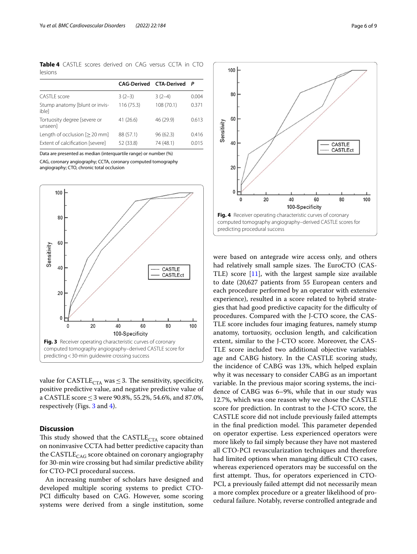<span id="page-5-0"></span>**Table 4** CASTLE scores derived on CAG versus CCTA in CTO lesions

|                                         | <b>CAG-Derived CTA-Derived</b> |           | P     |
|-----------------------------------------|--------------------------------|-----------|-------|
| CASTLE score                            | $3(2-3)$                       | $3(2-4)$  | 0.004 |
| Stump anatomy [blunt or invis-<br>iblel | 116 (75.3)                     | 108(70.1) | 0.371 |
| Tortuosity degree [severe or<br>unseenl | 41(26.6)                       | 46 (29.9) | 0.613 |
| Length of occlusion [> 20 mm]           | 88 (57.1)                      | 96(62.3)  | 0.416 |
| Extent of calcification [severe]        | 52 (33.8)                      | 74 (48.1) | 0.015 |

Data are presented as median (interquartile range) or number (%)

CAG, coronary angiography; CCTA, coronary computed tomography angiography; CTO, chronic total occlusion



<span id="page-5-1"></span>value for CASTLE<sub>CTA</sub> was  $\leq$  3. The sensitivity, specificity, positive predictive value, and negative predictive value of a CASTLE score≤3 were 90.8%, 55.2%, 54.6%, and 87.0%, respectively (Figs. [3](#page-5-1) and [4](#page-5-2)).

# **Discussion**

This study showed that the  $\text{CASTLE}_{\text{CTA}}$  score obtained on noninvasive CCTA had better predictive capacity than the  $\text{CASTLE}_{\text{CAG}}$  score obtained on coronary angiography for 30-min wire crossing but had similar predictive ability for CTO-PCI procedural success.

An increasing number of scholars have designed and developed multiple scoring systems to predict CTO-PCI difficulty based on CAG. However, some scoring systems were derived from a single institution, some



<span id="page-5-2"></span>were based on antegrade wire access only, and others had relatively small sample sizes. The EuroCTO (CAS-TLE) score  $[11]$  $[11]$ , with the largest sample size available to date (20,627 patients from 55 European centers and each procedure performed by an operator with extensive experience), resulted in a score related to hybrid strategies that had good predictive capacity for the difficulty of procedures. Compared with the J-CTO score, the CAS-TLE score includes four imaging features, namely stump anatomy, tortuosity, occlusion length, and calcifcation extent, similar to the J-CTO score. Moreover, the CAS-TLE score included two additional objective variables: age and CABG history. In the CASTLE scoring study, the incidence of CABG was 13%, which helped explain why it was necessary to consider CABG as an important variable. In the previous major scoring systems, the incidence of CABG was 6–9%, while that in our study was 12.7%, which was one reason why we chose the CASTLE score for prediction. In contrast to the J-CTO score, the CASTLE score did not include previously failed attempts in the final prediction model. This parameter depended on operator expertise. Less experienced operators were more likely to fail simply because they have not mastered all CTO-PCI revascularization techniques and therefore had limited options when managing difficult CTO cases, whereas experienced operators may be successful on the first attempt. Thus, for operators experienced in CTO-PCI, a previously failed attempt did not necessarily mean a more complex procedure or a greater likelihood of procedural failure. Notably, reverse controlled antegrade and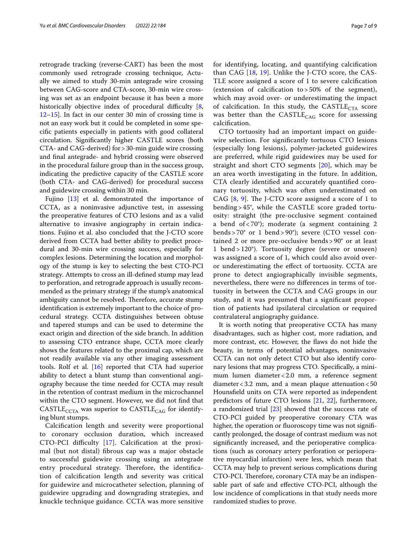retrograde tracking (reverse-CART) has been the most commonly used retrograde crossing technique, Actually we aimed to study 30-min antegrade wire crossing between CAG-score and CTA-score, 30-min wire crossing was set as an endpoint because it has been a more historically objective index of procedural difficulty  $[8,$  $[8,$ [12–](#page-7-11)[15](#page-8-0)]. In fact in our center 30 min of crossing time is not an easy work but it could be completed in some specifc patients especially in patients with good collateral circulation. Signifcantly higher CASTLE scores (both CTA- and CAG-derived) for>30-min guide wire crossing and fnal antegrade- and hybrid crossing were observed in the procedural failure group than in the success group, indicating the predictive capacity of the CASTLE score (both CTA- and CAG-derived) for procedural success and guidewire crossing within 30 min.

Fujino [[13\]](#page-7-12) et al. demonstrated the importance of CCTA, as a noninvasive adjunctive test, in assessing the preoperative features of CTO lesions and as a valid alternative to invasive angiography in certain indications. Fujino et al. also concluded that the J-CTO score derived from CCTA had better ability to predict procedural and 30-min wire crossing success, especially for complex lesions. Determining the location and morphology of the stump is key to selecting the best CTO-PCI strategy. Attempts to cross an ill-defned stump may lead to perforation, and retrograde approach is usually recommended as the primary strategy if the stump's anatomical ambiguity cannot be resolved. Therefore, accurate stump identifcation is extremely important to the choice of procedural strategy. CCTA distinguishes between obtuse and tapered stumps and can be used to determine the exact origin and direction of the side branch. In addition to assessing CTO entrance shape, CCTA more clearly shows the features related to the proximal cap, which are not readily available via any other imaging assessment tools. Rolf et al. [[16\]](#page-8-1) reported that CTA had superior ability to detect a blunt stump than conventional angiography because the time needed for CCTA may result in the retention of contrast medium in the microchannel within the CTO segment. However, we did not fnd that  $CASTLE<sub>CCTA</sub>$  was superior to  $CASTLE<sub>CAG</sub>$  for identifying blunt stumps.

Calcifcation length and severity were proportional to coronary occlusion duration, which increased CTO-PCI difficulty [[17\]](#page-8-2). Calcification at the proximal (but not distal) fbrous cap was a major obstacle to successful guidewire crossing using an antegrade entry procedural strategy. Therefore, the identification of calcifcation length and severity was critical for guidewire and microcatheter selection, planning of guidewire upgrading and downgrading strategies, and knuckle technique guidance. CCTA was more sensitive for identifying, locating, and quantifying calcifcation than CAG [\[18,](#page-8-3) [19](#page-8-4)]. Unlike the J-CTO score, the CAS-TLE score assigned a score of 1 to severe calcifcation (extension of calcifcation to > 50% of the segment), which may avoid over- or underestimating the impact of calcification. In this study, the  $\text{CASTLE}_{\text{CTA}}$  score was better than the  $\text{CASTLE}_{\text{CAG}}$  score for assessing calcifcation.

CTO tortuosity had an important impact on guidewire selection. For signifcantly tortuous CTO lesions (especially long lesions), polymer-jacketed guidewires are preferred, while rigid guidewires may be used for straight and short CTO segments [\[20](#page-8-5)], which may be an area worth investigating in the future. In addition, CTA clearly identifed and accurately quantifed coronary tortuosity, which was often underestimated on CAG  $[8, 9]$  $[8, 9]$  $[8, 9]$  $[8, 9]$ . The J-CTO score assigned a score of 1 to bending > 45°, while the CASTLE score graded tortuosity: straight (the pre-occlusive segment contained a bend of < 70°); moderate (a segment containing 2 bends > 70° or 1 bend > 90°); severe (CTO vessel contained 2 or more pre-occlusive bends > 90° or at least 1 bend > 120°). Tortuosity degree (severe or unseen) was assigned a score of 1, which could also avoid overor underestimating the efect of tortuosity. CCTA are prone to detect angiographically invisible segments, nevertheless, there were no diferences in terms of tortuosity in between the CCTA and CAG groups in our study, and it was presumed that a signifcant proportion of patients had ipsilateral circulation or required contralateral angiography guidance.

It is worth noting that preoperative CCTA has many disadvantages, such as higher cost, more radiation, and more contrast, etc. However, the faws do not hide the beauty, in terms of potential advantages, noninvasive CCTA can not only detect CTO but also identify coronary lesions that may progress CTO. Specifcally, a minimum lumen diameter<2.0 mm, a reference segment diameter <  $3.2$  mm, and a mean plaque attenuation <  $50$ Hounsfeld units on CTA were reported as independent predictors of future CTO lesions [[21,](#page-8-6) [22](#page-8-7)], furthermore, a randomized trial  $[23]$  $[23]$  showed that the success rate of CTO-PCI guided by preoperative coronary CTA was higher, the operation or fluoroscopy time was not significantly prolonged, the dosage of contrast medium was not signifcantly increased, and the perioperative complications (such as coronary artery perforation or perioperative myocardial infarction) were less, which mean that CCTA may help to prevent serious complications during CTO-PCI. Therefore, coronary CTA may be an indispensable part of safe and efective CTO-PCI, although the low incidence of complications in that study needs more randomized studies to prove.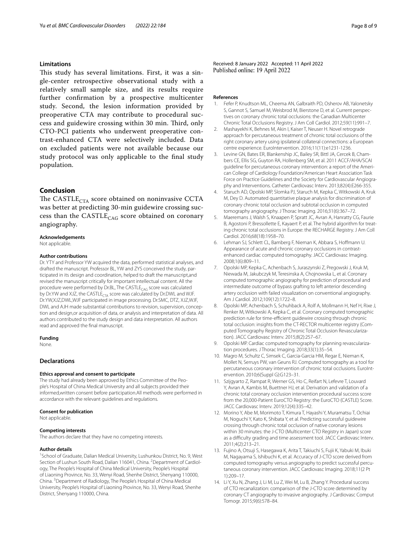#### **Limitations**

This study has several limitations. First, it was a single-center retrospective observational study with a relatively small sample size, and its results require further confrmation by a prospective multicenter study. Second, the lesion information provided by preoperative CTA may contribute to procedural success and guidewire crossing within 30 min. Third, only CTO-PCI patients who underwent preoperative contrast-enhanced CTA were selectively included. Data on excluded patients were not available because our study protocol was only applicable to the fnal study population.

### **Conclusion**

The CASTLE<sub>CTA</sub> score obtained on noninvasive CCTA was better at predicting 30-min guidewire crossing success than the  $\text{CASTLE}_{\text{CAG}}$  score obtained on coronary angiography.

#### **Acknowledgements**

Not applicable.

#### **Author contributions**

Dr. YTY and Professor YW acquired the data, performed statistical analyses, and drafted the manuscript. Professor BL, YW and ZYS conceived the study, participated in its design and coordination, helped to draft the manuscript,and revised the manuscript critically for important intellectual content. All the procedure were performed by Dr.BL, The CASTLE<sub>CAG</sub> score was calculated by Dr.YW and XJZ, the CASTLE<sub>CTA</sub> score was calculated by Dr.DWL and WJF. Dr.YW,XJZ,DWL,WJF participated in image processing. Dr.SMC, DTZ, XJZ,WJF, DWL and AJH made substantial contributions to revision, supervision, conception and design,or acquisition of data, or analysis and interpretation of data. All authors contributed to the study design and data interpretation. All authors read and approved the fnal manuscript.

#### **Funding**

None.

# **Declarations**

#### **Ethics approval and consent to participate**

The study had already been approved by Ethics Committee of the People's Hospital of China Medical University and all subjects provided their informed,written consent before participation.All methods were performed in accordance with the relevant guidelines and regulations.

#### **Consent for publication**

Not applicable.

#### **Competing interests**

The authors declare that they have no competing interests.

#### **Author details**

<sup>1</sup> School of Graduate, Dalian Medical University, Lushunkou District, No. 9, West Section of Lushun South Road, Dalian 116041, China. <sup>2</sup> Department of Cardiology, The People's Hospital of China Medical University, People's Hospital of Liaoning Province, No. 33, Wenyi Road, Shenhe District, Shenyang 110000, China. <sup>3</sup> Department of Radiology, The People's Hospital of China Medical University, People's Hospital of Liaoning Province, No. 33, Wenyi Road, Shenhe District, Shenyang 110000, China.

Received: 8 January 2022 Accepted: 11 April 2022

#### **References**

- <span id="page-7-0"></span>1. Fefer P, Knudtson ML, Cheema AN, Galbraith PD, Osherov AB, Yalonetsky S, Gannot S, Samuel M, Weisbrod M, Bierstone D, et al. Current perspectives on coronary chronic total occlusions: the Canadian Multicenter Chronic Total Occlusions Registry. J Am Coll Cardiol. 2012;59(11):991–7.
- <span id="page-7-1"></span>2. Mashayekhi K, Behnes M, Akin I, Kaiser T, Neuser H. Novel retrograde approach for percutaneous treatment of chronic total occlusions of the right coronary artery using ipsilateral collateral connections: a European centre experience. EuroIntervention. 2016;11(11):e1231-1236.
- <span id="page-7-2"></span>3. Levine GN, Bates ER, Blankenship JC, Bailey SR, Bittl JA, Cercek B, Chambers CE, Ellis SG, Guyton RA, Hollenberg SM, et al. 2011 ACCF/AHA/SCAI guideline for percutaneous coronary intervention: a report of the American College of Cardiology Foundation/American Heart Association Task Force on Practice Guidelines and the Society for Cardiovascular Angiography and Interventions. Catheter Cardiovasc Interv. 2013;82(4):E266-355.
- <span id="page-7-3"></span>4. Staruch AD, Opolski MP, Slomka PJ, Staruch M, Kepka C, Witkowski A, Kruk M, Dey D. Automated quantitative plaque analysis for discrimination of coronary chronic total occlusion and subtotal occlusion in computed tomography angiography. J Thorac Imaging. 2016;31(6):367–72.
- <span id="page-7-4"></span>5. Maeremans J, Walsh S, Knaapen P, Spratt JC, Avran A, Hanratty CG, Faurie B, Agostoni P, Bressollette E, Kayaert P, et al. The hybrid algorithm for treating chronic total occlusions in Europe: the RECHARGE Registry. J Am Coll Cardiol. 2016;68(18):1958–70.
- <span id="page-7-5"></span>6. Lehman SJ, Schlett CL, Bamberg F, Nieman K, Abbara S, Hofmann U. Appearance of acute and chronic coronary occlusions in contrastenhanced cardiac computed tomography. JACC Cardiovasc Imaging. 2008;1(6):809–11.
- <span id="page-7-6"></span>7. Opolski MP, Kepka C, Achenbach S, Juraszynski Z, Pregowski J, Kruk M, Niewada M, Jakubczyk M, Teresinska A, Chojnowska L, et al. Coronary computed tomographic angiography for prediction of procedural and intermediate outcome of bypass grafting to left anterior descending artery occlusion with failed visualization on conventional angiography. Am J Cardiol. 2012;109(12):1722–8.
- <span id="page-7-10"></span>8. Opolski MP, Achenbach S, Schuhback A, Rolf A, Mollmann H, Nef H, Rixe J, Renker M, Witkowski A, Kepka C, et al. Coronary computed tomographic prediction rule for time-efficient guidewire crossing through chronic total occlusion: insights from the CT-RECTOR multicenter registry (Computed Tomography Registry of Chronic Total Occlusion Revascularization). JACC Cardiovasc Interv. 2015;8(2):257–67.
- <span id="page-7-7"></span>9. Opolski MP. Cardiac computed tomography for planning revascularization procedures. J Thorac Imaging. 2018;33(1):35–54.
- <span id="page-7-8"></span>10. Magro M, Schultz C, Simsek C, Garcia-Garcia HM, Regar E, Nieman K, Mollet N, Serruys PW, van Geuns RJ. Computed tomography as a tool for percutaneous coronary intervention of chronic total occlusions. EuroIntervention. 2010;6(Suppl G):G123–31.
- <span id="page-7-9"></span>11. Szijgyarto Z, Rampat R, Werner GS, Ho C, Reifart N, Lefevre T, Louvard Y, Avran A, Kambis M, Buettner HJ, et al. Derivation and validation of a chronic total coronary occlusion intervention procedural success score from the 20,000-Patient EuroCTO Registry: the EuroCTO (CASTLE) Score. JACC Cardiovasc Interv. 2019;12(4):335–42.
- <span id="page-7-11"></span>12. Morino Y, Abe M, Morimoto T, Kimura T, Hayashi Y, Muramatsu T, Ochiai M, Noguchi Y, Kato K, Shibata Y, et al. Predicting successful guidewire crossing through chronic total occlusion of native coronary lesions within 30 minutes: the J-CTO (Multicenter CTO Registry in Japan) score as a difficulty grading and time assessment tool. JACC Cardiovasc Interv. 2011;4(2):213–21.
- <span id="page-7-12"></span>13. Fujino A, Otsuji S, Hasegawa K, Arita T, Takiuchi S, Fujii K, Yabuki M, Ibuki M, Nagayama S, Ishibuchi K, et al. Accuracy of J-CTO score derived from computed tomography versus angiography to predict successful percutaneous coronary intervention. JACC Cardiovasc Imaging. 2018;11(2 Pt 1):209–17.
- 14. Li Y, Xu N, Zhang J, Li M, Lu Z, Wei M, Lu B, Zhang Y. Procedural success of CTO recanalization: comparison of the J-CTO score determined by coronary CT angiography to invasive angiography. J Cardiovasc Comput Tomogr. 2015;9(6):578–84.